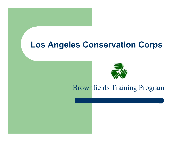## Los Angeles Conservation Corps



### Brownfields Training Program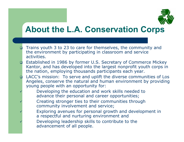

## About the L.A. Conservation Corps

- $\Box$  Trains youth 3 to 23 to care for themselves, the community and the environment by participating in classroom and service activities.
- • Established in 1986 by former U.S. Secretary of Commerce Mickey Kantor, and has developed into the largest nonprofit youth corps in the nation, employing thousands participants each year.
- • LACC's mission: To serve and uplift the diverse communities of Los Angeles, conserve the natural and human environment by providing young people with an opportunity for:
	- Developing the education and work skills needed to advance their personal and career opportunities;

 $\checkmark$ 

 $\checkmark$ 

 $\checkmark$ 

 $\checkmark$ 

- Creating stronger ties to their communities through community involvement and service;
	- Exploring avenues for personal growth and development in <sup>a</sup> respectful and nurturing environment and
	- Developing leadership skills to contribute to the advancement of all people.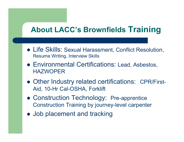### About LACC's Brownfields Trainin

- Life Skills: Sexual Harassment, Conflict Resolution, Resume Writing, Interview Skills
- Environmental Certifications: Lead, Asbestos, HAZWOPER
- Other Industry related certifications: CPR/First-Aid, 10-Hr Cal-OSHA, Forklift
- Construction Technology: Pre-apprentice Construction Training by journey-level carpenter
- Job placement and tracking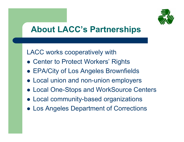

# About LACC's Partnerships

LACC works cooperatively with

- Center to Protect Workers' Rights
- EPA/City of Los Angeles Brownfields
- Local union and non-union employers
- Local One-Stops and WorkSource Centers
- Local community-based organizations
- Los Angeles Department of Corrections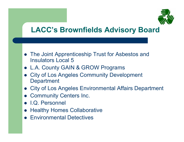

### LACC's Brownfields Advisory Board

- The Joint Apprenticeship Trust for Asbestos and Insulators Local 5
- L.A. County GAIN & GROW Programs
- City of Los Angeles Community Development **Department**
- •City of Los Angeles Environmental Affairs Department
- Community Centers Inc.
- I.Q. Personnel
- Healthy Homes Collaborative
- **Environmental Detectives**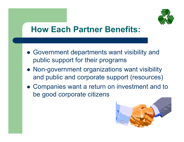

## How Each Partner Benefits:

- Government departments want visibility and public support for their programs
- Non-government organizations want visibility and public and corporate support (resources)
- Companies want a return on investment and to be good corporate citizens

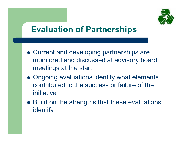

# Evaluation of Partnerships

- Current and developing partnerships are monitored and discussed at advisory board meetings at the start
- Ongoing evaluations identify what elements contributed to the success or failure of the initiative
- Build on the strengths that these evaluations identify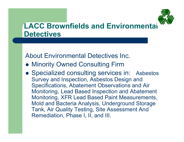

### LACC Brownfields and Environmental **Detectives**

About Environmental Detectives Inc.

- Minority Owned Consulting Firm
- Specialized consulting services in: Asbestos Survey and Inspection, Asbestos Design and Specifications, Abatement Observations and Air Monitoring, Lead Based Inspection and Abatement Monitoring, XFR Lead Based Paint Measurements, Mold and Bacteria Analysis, Underground Storage Tank, Air Quality Testing, Site Assessment And Remediation, Phase I, II, and III.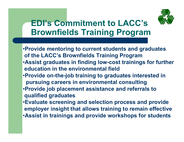

## EDI's Commitment to LACC's **Brownfields Training Program**

- •Provide mentoring to current students and graduates of the LACC's Brownfields Training Program •Assist graduates in finding low-cost trainings for further education in the environmental field
- •Provide on-the-job training to graduates interested in pursuing careers in environmental consulting
- •Provide job placement assistance and referrals to qualified graduates
- •Evaluate screening and selection process and provide employer insight that allows training to remain effective • Assist in trainings and provide workshops for students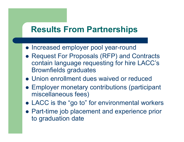## Results From Partnerships

- Increased employer pool year-round
- Request For Proposals (RFP) and Contracts contain language requesting for hire LACC's Brownfields graduates
- Union enrollment dues waived or reduced
- Employer monetary contributions (participant miscellaneous fees)
- LACC is the "go to" for environmental workers
- Part-time job placement and experience prior to graduation date